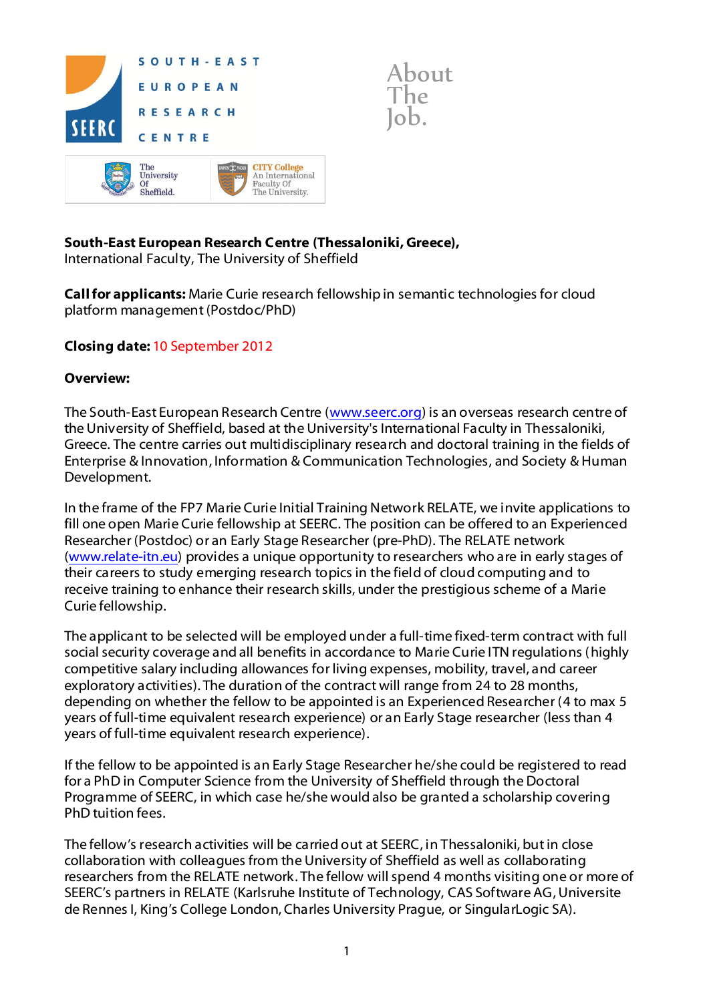

# **South-East European Research Centre (Thessaloniki, Greece),**

International Faculty, The University of Sheffield

**Call for applicants:** Marie Curie research fellowship in semantic technologies for cloud platform management (Postdoc/PhD)

## **Closing date:** 10 September 2012

#### **Overview:**

The South-East European Research Centre [\(www.seerc.org\)](http://www.seerc.org/) is an overseas research centre of the University of Sheffield, based at the University's International Faculty in Thessaloniki, Greece. The centre carries out multidisciplinary research and doctoral training in the fields of Enterprise & Innovation, Information & Communication Technologies, and Society & Human Development.

In the frame of the FP7 Marie Curie Initial Training Network RELATE, we invite applications to fill one open Marie Curie fellowship at SEERC. The position can be offered to an Experienced Researcher (Postdoc) or an Early Stage Researcher (pre-PhD). The RELATE network [\(www.relate-itn.eu\)](http://www.relate-itn.eu/) provides a unique opportunity to researchers who are in early stages of their careers to study emerging research topics in the field of cloud computing and to receive training to enhance their research skills, under the prestigious scheme of a Marie Curie fellowship.

The applicant to be selected will be employed under a full-time fixed-term contract with full social security coverage and all benefits in accordance to Marie Curie ITN regulations (highly competitive salary including allowances for living expenses, mobility, travel, and career exploratory activities). The duration of the contract will range from 24 to 28 months, depending on whether the fellow to be appointed is an Experienced Researcher (4 to max 5 years of full-time equivalent research experience) or an Early Stage researcher (less than 4 years of full-time equivalent research experience).

If the fellow to be appointed is an Early Stage Researcher he/she could be registered to read for a PhD in Computer Science from the University of Sheffield through the Doctoral Programme of SEERC, in which case he/she would also be granted a scholarship covering PhD tuition fees.

The fellow's research activities will be carried out at SEERC, in Thessaloniki, but in close collaboration with colleagues from the University of Sheffield as well as collaborating researchers from the RELATE network. The fellow will spend 4 months visiting one or more of SEERC's partners in RELATE (Karlsruhe Institute of Technology, CAS Software AG, Universite de Rennes I, King's College London, Charles University Prague, or SingularLogic SA).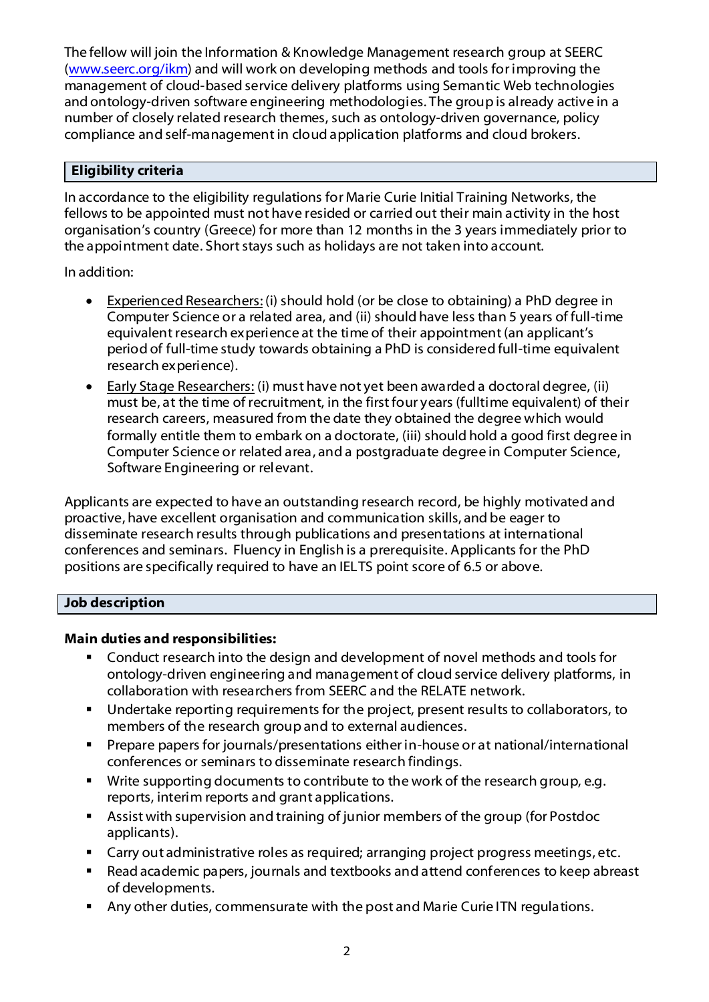The fellow will join the Information & Knowledge Management research group at SEERC [\(www.seerc.org/ikm\)](http://www.seerc.org/ikm) and will work on developing methods and tools for improving the management of cloud-based service delivery platforms using Semantic Web technologies and ontology-driven software engineering methodologies. The group is already active in a number of closely related research themes, such as ontology-driven governance, policy compliance and self-management in cloud application platforms and cloud brokers.

### **Eligibility criteria**

In accordance to the eligibility regulations for Marie Curie Initial Training Networks, the fellows to be appointed must not have resided or carried out their main activity in the host organisation's country (Greece) for more than 12 months in the 3 years immediately prior to the appointment date. Short stays such as holidays are not taken into account.

In addition:

- Experienced Researchers: (i) should hold (or be close to obtaining) a PhD degree in Computer Science or a related area, and (ii) should have less than 5 years of full-time equivalent research experience at the time of their appointment (an applicant's period of full-time study towards obtaining a PhD is considered full-time equivalent research experience).
- Early Stage Researchers: (i) must have not yet been awarded a doctoral degree, (ii) must be, at the time of recruitment, in the first four years (fulltime equivalent) of their research careers, measured from the date they obtained the degree which would formally entitle them to embark on a doctorate, (iii) should hold a good first degree in Computer Science or related area, and a postgraduate degree in Computer Science, Software Engineering or relevant.

Applicants are expected to have an outstanding research record, be highly motivated and proactive, have excellent organisation and communication skills, and be eager to disseminate research results through publications and presentations at international conferences and seminars. Fluency in English is a prerequisite. Applicants for the PhD positions are specifically required to have an IELTS point score of 6.5 or above.

### **Job description**

### **Main duties and responsibilities:**

- Conduct research into the design and development of novel methods and tools for ontology-driven engineering and management of cloud service delivery platforms, in collaboration with researchers from SEERC and the RELATE network.
- Undertake reporting requirements for the project, present results to collaborators, to members of the research group and to external audiences.
- Prepare papers for journals/presentations either in-house or at national/international conferences or seminars to disseminate research findings.
- **Write supporting documents to contribute to the work of the research group, e.g.** reports, interim reports and grant applications.
- Assist with supervision and training of junior members of the group (for Postdoc applicants).
- **EXP** Carry out administrative roles as required; arranging project progress meetings, etc.
- Read academic papers, journals and textbooks and attend conferences to keep abreast of developments.
- Any other duties, commensurate with the post and Marie Curie ITN regulations.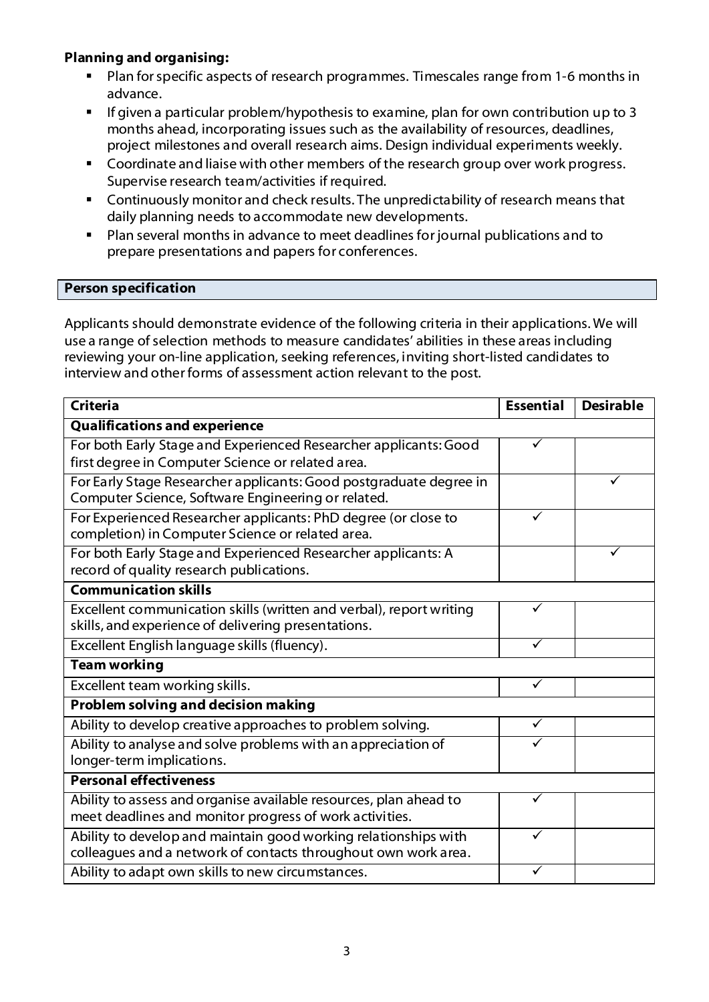## **Planning and organising:**

- Plan for specific aspects of research programmes. Timescales range from 1-6 months in advance.
- If given a particular problem/hypothesis to examine, plan for own contribution up to 3 months ahead, incorporating issues such as the availability of resources, deadlines, project milestones and overall research aims. Design individual experiments weekly.
- **Coordinate and liaise with other members of the research group over work progress.** Supervise research team/activities if required.
- Continuously monitor and check results. The unpredictability of research means that daily planning needs to accommodate new developments.
- Plan several months in advance to meet deadlines for journal publications and to prepare presentations and papers for conferences.

#### **Person specification**

Applicants should demonstrate evidence of the following criteria in their applications. We will use a range of selection methods to measure candidates' abilities in these areas including reviewing your on-line application, seeking references, inviting short-listed candidates to interview and other forms of assessment action relevant to the post.

| <b>Criteria</b>                                                     | <b>Essential</b> | <b>Desirable</b> |
|---------------------------------------------------------------------|------------------|------------------|
| <b>Qualifications and experience</b>                                |                  |                  |
| For both Early Stage and Experienced Researcher applicants: Good    |                  |                  |
| first degree in Computer Science or related area.                   |                  |                  |
| For Early Stage Researcher applicants: Good postgraduate degree in  |                  |                  |
| Computer Science, Software Engineering or related.                  |                  |                  |
| For Experienced Researcher applicants: PhD degree (or close to      | $\checkmark$     |                  |
| completion) in Computer Science or related area.                    |                  |                  |
| For both Early Stage and Experienced Researcher applicants: A       |                  |                  |
| record of quality research publications.                            |                  |                  |
| <b>Communication skills</b>                                         |                  |                  |
| Excellent communication skills (written and verbal), report writing | ✓                |                  |
| skills, and experience of delivering presentations.                 |                  |                  |
| Excellent English language skills (fluency).                        | ✓                |                  |
| <b>Team working</b>                                                 |                  |                  |
| Excellent team working skills.                                      | ✓                |                  |
| <b>Problem solving and decision making</b>                          |                  |                  |
| Ability to develop creative approaches to problem solving.          | ✓                |                  |
| Ability to analyse and solve problems with an appreciation of       |                  |                  |
| longer-term implications.                                           |                  |                  |
| <b>Personal effectiveness</b>                                       |                  |                  |
| Ability to assess and organise available resources, plan ahead to   | ✓                |                  |
| meet deadlines and monitor progress of work activities.             |                  |                  |
| Ability to develop and maintain good working relationships with     | ✓                |                  |
| colleagues and a network of contacts throughout own work area.      |                  |                  |
| Ability to adapt own skills to new circumstances.                   |                  |                  |